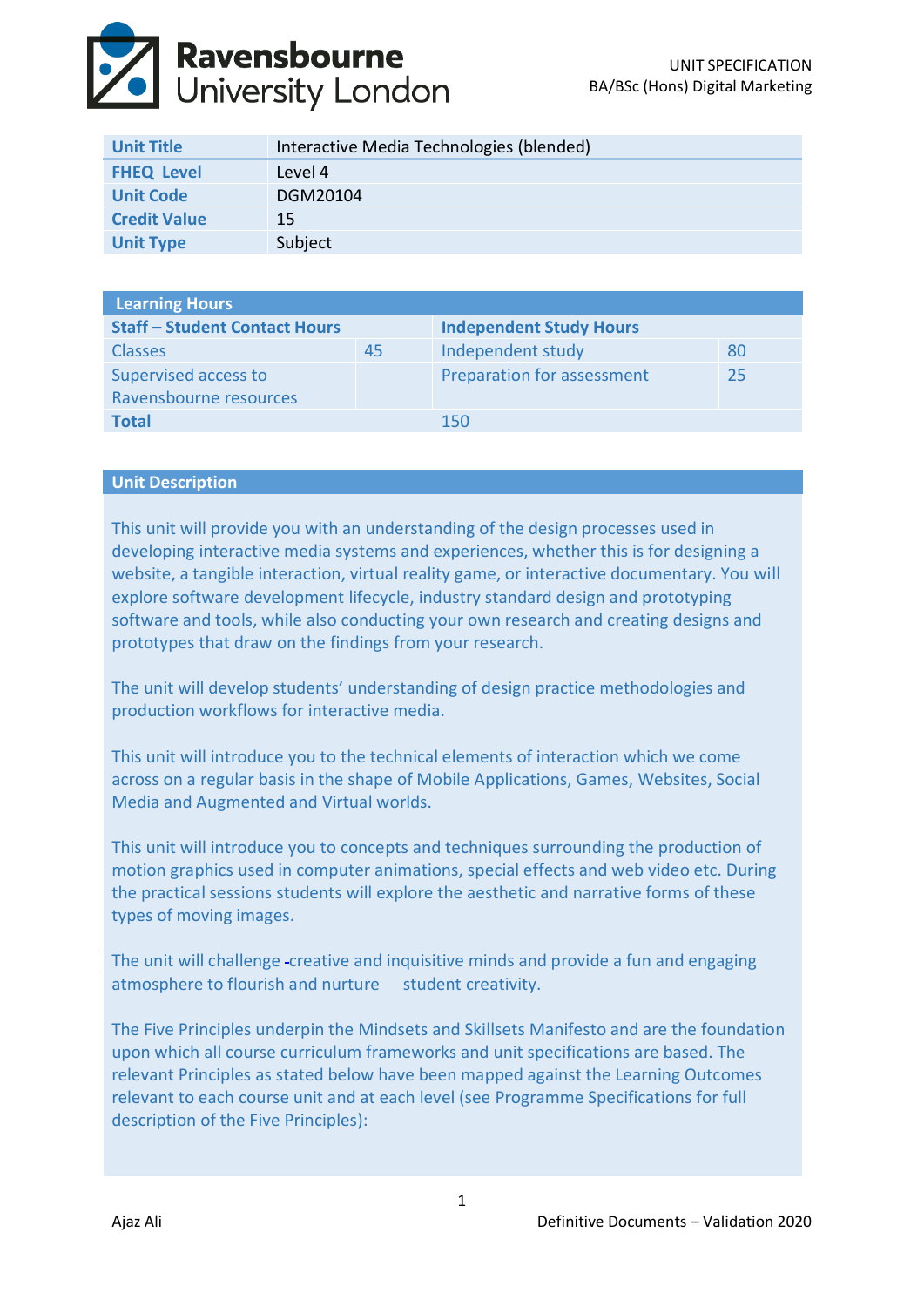

| <b>Unit Title</b>   | Interactive Media Technologies (blended) |
|---------------------|------------------------------------------|
| <b>FHEQ Level</b>   | Level 4                                  |
| <b>Unit Code</b>    | DGM20104                                 |
| <b>Credit Value</b> | 15                                       |
| <b>Unit Type</b>    | Subject                                  |

| <b>Learning Hours</b>                |    |                                |    |  |  |
|--------------------------------------|----|--------------------------------|----|--|--|
| <b>Staff - Student Contact Hours</b> |    | <b>Independent Study Hours</b> |    |  |  |
| <b>Classes</b>                       | 45 | Independent study              | 80 |  |  |
| Supervised access to                 |    | Preparation for assessment     | 25 |  |  |
| Ravensbourne resources               |    |                                |    |  |  |
| <b>Total</b>                         |    | 150                            |    |  |  |

#### **Unit Description**

This unit will provide you with an understanding of the design processes used in developing interactive media systems and experiences, whether this is for designing a website, a tangible interaction, virtual reality game, or interactive documentary. You will explore software development lifecycle, industry standard design and prototyping software and tools, while also conducting your own research and creating designs and prototypes that draw on the findings from your research.

The unit will develop students' understanding of design practice methodologies and production workflows for interactive media.

This unit will introduce you to the technical elements of interaction which we come across on a regular basis in the shape of Mobile Applications, Games, Websites, Social Media and Augmented and Virtual worlds.

This unit will introduce you to concepts and techniques surrounding the production of motion graphics used in computer animations, special effects and web video etc. During the practical sessions students will explore the aesthetic and narrative forms of these types of moving images.

The unit will challenge creative and inquisitive minds and provide a fun and engaging atmosphere to flourish and nurture student creativity.

The Five Principles underpin the Mindsets and Skillsets Manifesto and are the foundation upon which all course curriculum frameworks and unit specifications are based. The relevant Principles as stated below have been mapped against the Learning Outcomes relevant to each course unit and at each level (see Programme Specifications for full description of the Five Principles):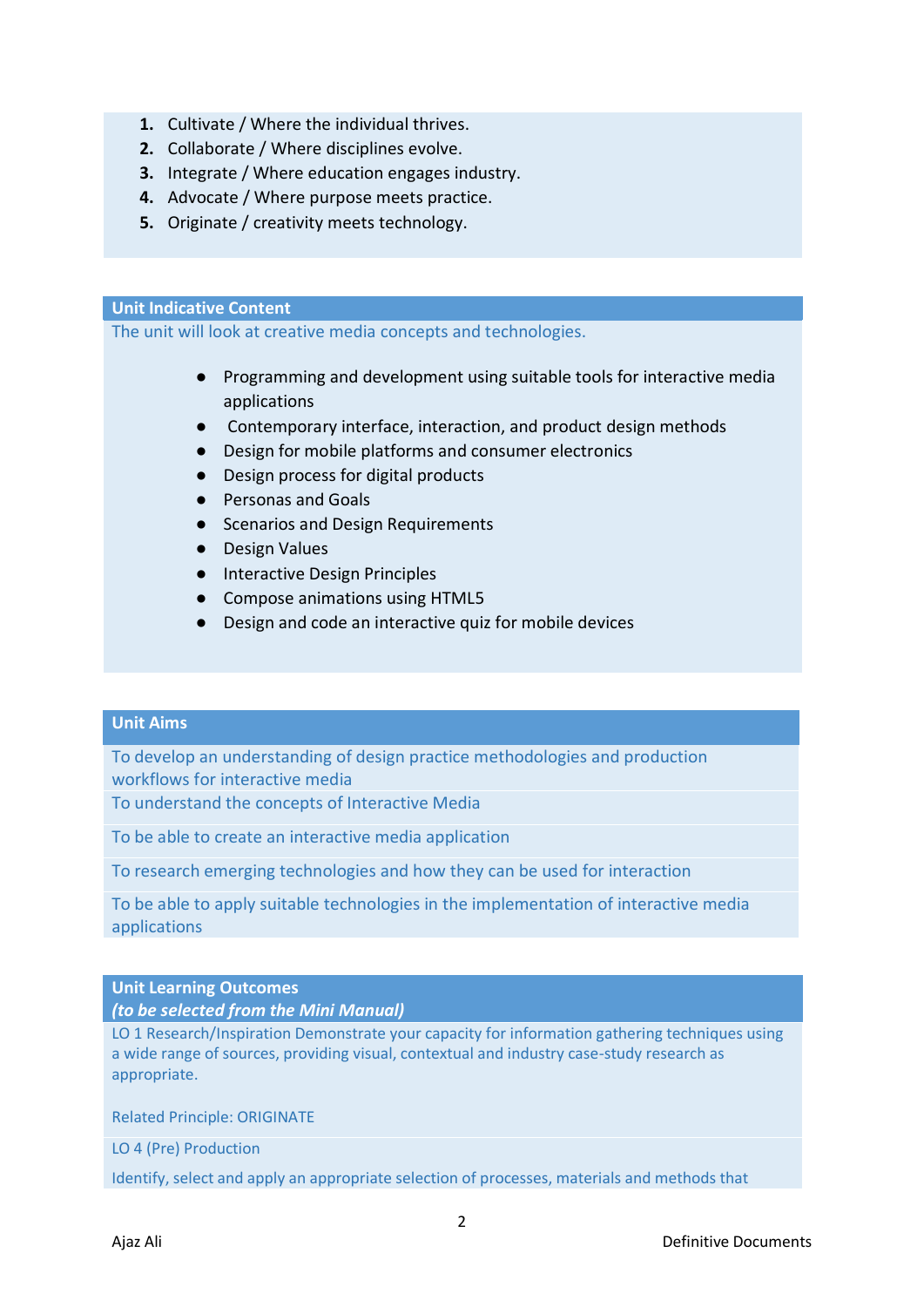- **1.** Cultivate / Where the individual thrives.
- **2.** Collaborate / Where disciplines evolve.
- **3.** Integrate / Where education engages industry.
- **4.** Advocate / Where purpose meets practice.
- **5.** Originate / creativity meets technology.

#### **Unit Indicative Content**

The unit will look at creative media concepts and technologies.

- Programming and development using suitable tools for interactive media applications
- Contemporary interface, interaction, and product design methods
- Design for mobile platforms and consumer electronics
- Design process for digital products
- Personas and Goals
- Scenarios and Design Requirements
- Design Values
- Interactive Design Principles
- Compose animations using HTML5
- Design and code an interactive quiz for mobile devices

# **Unit Aims**

To develop an understanding of design practice methodologies and production workflows for interactive media

To understand the concepts of Interactive Media

To be able to create an interactive media application

To research emerging technologies and how they can be used for interaction

To be able to apply suitable technologies in the implementation of interactive media applications

# **Unit Learning Outcomes**

*(to be selected from the Mini Manual)*

LO 1 Research/Inspiration Demonstrate your capacity for information gathering techniques using a wide range of sources, providing visual, contextual and industry case-study research as appropriate.

Related Principle: ORIGINATE

LO 4 (Pre) Production

Identify, select and apply an appropriate selection of processes, materials and methods that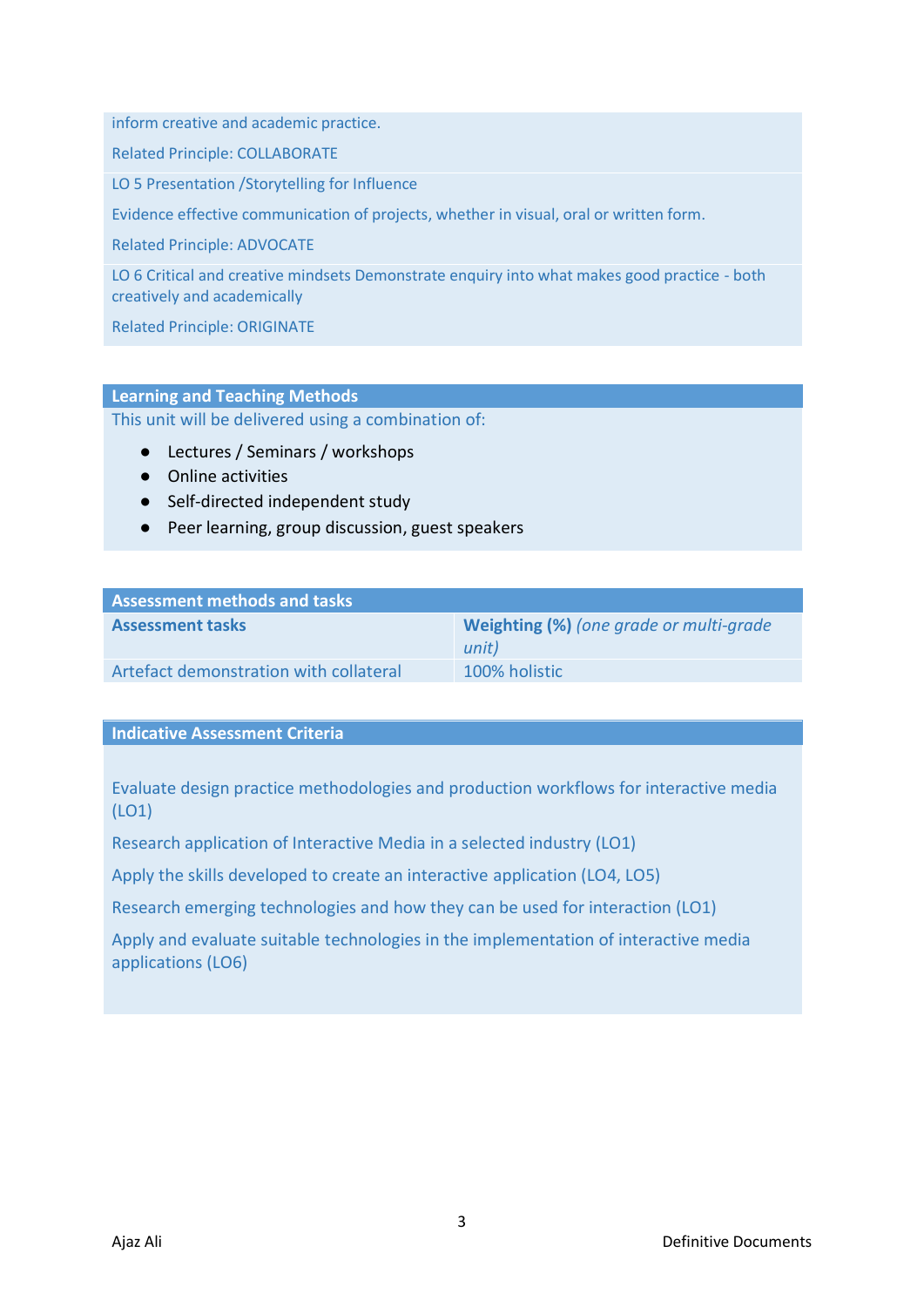inform creative and academic practice.

Related Principle: COLLABORATE

LO 5 Presentation /Storytelling for Influence

Evidence effective communication of projects, whether in visual, oral or written form.

Related Principle: ADVOCATE

LO 6 Critical and creative mindsets Demonstrate enquiry into what makes good practice - both creatively and academically

Related Principle: ORIGINATE

# **Learning and Teaching Methods**

This unit will be delivered using a combination of:

- Lectures / Seminars / workshops
- Online activities
- Self-directed independent study
- Peer learning, group discussion, guest speakers

| <b>Assessment methods and tasks</b>    |                                                  |
|----------------------------------------|--------------------------------------------------|
| <b>Assessment tasks</b>                | Weighting (%) (one grade or multi-grade<br>unit) |
| Artefact demonstration with collateral | 100% holistic                                    |

#### **Indicative Assessment Criteria**

Evaluate design practice methodologies and production workflows for interactive media (LO1)

Research application of Interactive Media in a selected industry (LO1)

Apply the skills developed to create an interactive application (LO4, LO5)

Research emerging technologies and how they can be used for interaction (LO1)

Apply and evaluate suitable technologies in the implementation of interactive media applications (LO6)